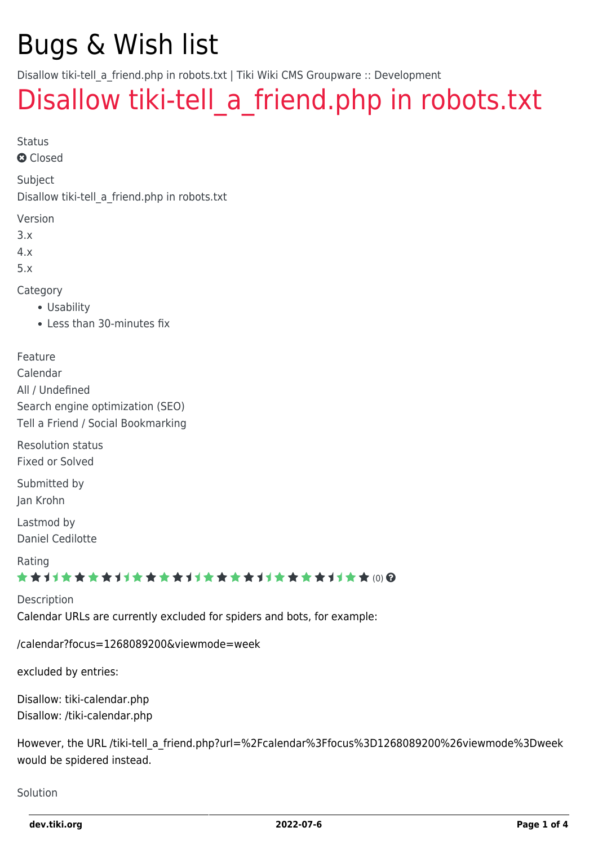### Bugs & Wish list

Disallow tiki-tell a friend.php in robots.txt | Tiki Wiki CMS Groupware :: Development

### Disallow tiki-tell a friend.php in robots.txt

Status

**Q** Closed

Subject

Disallow tiki-tell\_a\_friend.php in robots.txt

Version

3.x

4.x

5.x

Category

- Usability
- Less than 30-minutes fix

Feature

Calendar All / Undefined Search engine optimization (SEO) Tell a Friend / Social Bookmarking

Resolution status Fixed or Solved

Submitted by Jan Krohn

Lastmod by Daniel Cedilotte

Rating

#### \*\*\*\*\*\*\*\*\*\*\*\*\*\*\*\*\*\*\*\*\*\*\*\*\*\*\*\*\*\*

Description Calendar URLs are currently excluded for spiders and bots, for example:

/calendar?focus=1268089200&viewmode=week

excluded by entries:

Disallow: tiki-calendar.php Disallow: /tiki-calendar.php

However, the URL /tiki-tell\_a\_friend.php?url=%2Fcalendar%3Ffocus%3D1268089200%26viewmode%3Dweek would be spidered instead.

Solution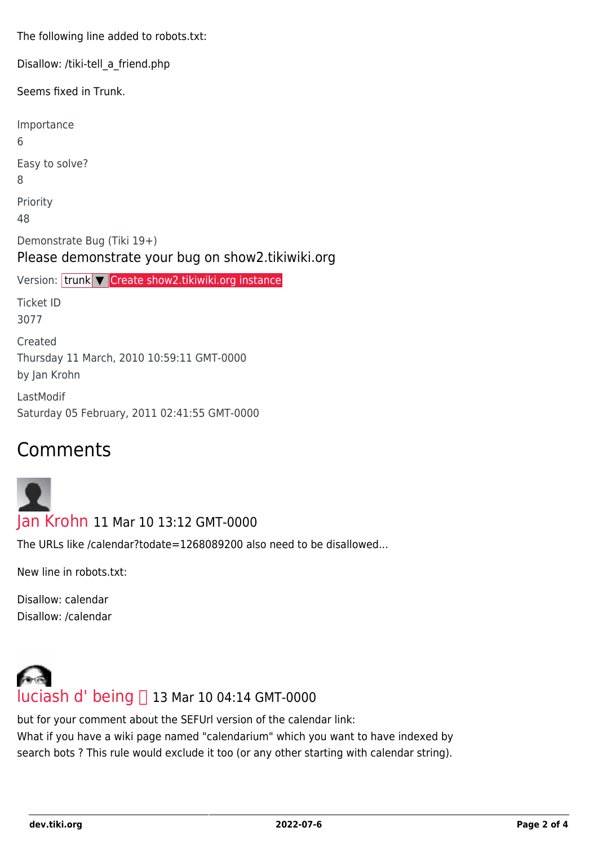The following line added to robots.txt:

Disallow: /tiki-tell\_a\_friend.php

Seems fixed in Trunk.

Importance 6 Easy to solve? 8 Priority 48 Demonstrate Bug (Tiki 19+) Please demonstrate your bug on show2.tikiwiki.org Version: trunk ▼ [Create show2.tikiwiki.org instance](#page--1-0) Ticket ID 3077 Created Thursday 11 March, 2010 10:59:11 GMT-0000 by Jan Krohn LastModif Saturday 05 February, 2011 02:41:55 GMT-0000

#### Comments

#### [Jan Krohn](https://dev.tiki.org/user10264) 11 Mar 10 13:12 GMT-0000

The URLs like /calendar?todate=1268089200 also need to be disallowed...

New line in robots.txt:

Disallow: calendar Disallow: /calendar



but for your comment about the SEFUrl version of the calendar link: What if you have a wiki page named "calendarium" which you want to have indexed by search bots ? This rule would exclude it too (or any other starting with calendar string).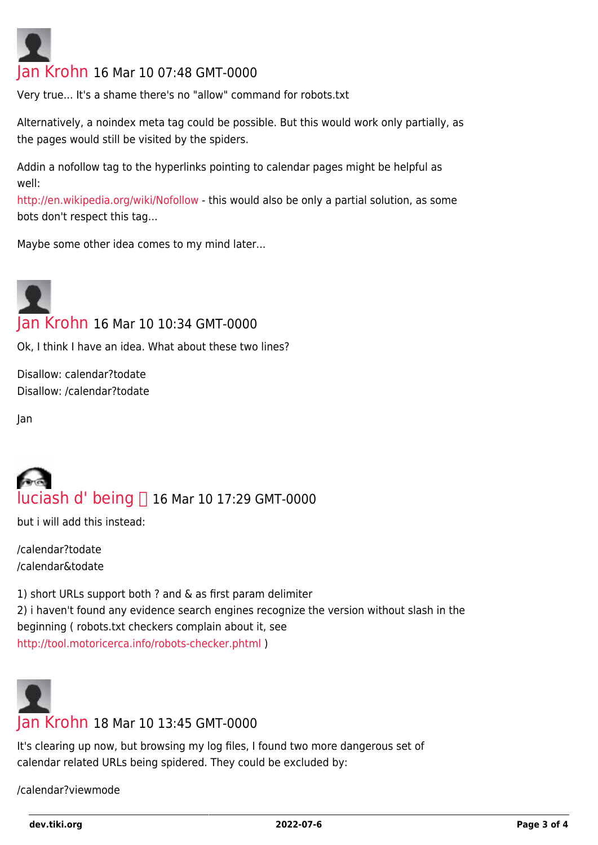# [Jan Krohn](https://dev.tiki.org/user10264) 16 Mar 10 07:48 GMT-0000

Very true... It's a shame there's no "allow" command for robots.txt

Alternatively, a noindex meta tag could be possible. But this would work only partially, as the pages would still be visited by the spiders.

Addin a nofollow tag to the hyperlinks pointing to calendar pages might be helpful as well:

<http://en.wikipedia.org/wiki/Nofollow>- this would also be only a partial solution, as some bots don't respect this tag...

Maybe some other idea comes to my mind later...

## [Jan Krohn](https://dev.tiki.org/user10264) 16 Mar 10 10:34 GMT-0000

Ok, I think I have an idea. What about these two lines?

Disallow: calendar?todate Disallow: /calendar?todate

Jan

## [luciash d' being](https://dev.tiki.org/user199)  16 Mar 10 17:29 GMT-0000

but i will add this instead:

/calendar?todate /calendar&todate

1) short URLs support both ? and & as first param delimiter 2) i haven't found any evidence search engines recognize the version without slash in the beginning ( robots.txt checkers complain about it, see <http://tool.motoricerca.info/robots-checker.phtml> )



It's clearing up now, but browsing my log files, I found two more dangerous set of calendar related URLs being spidered. They could be excluded by:

/calendar?viewmode